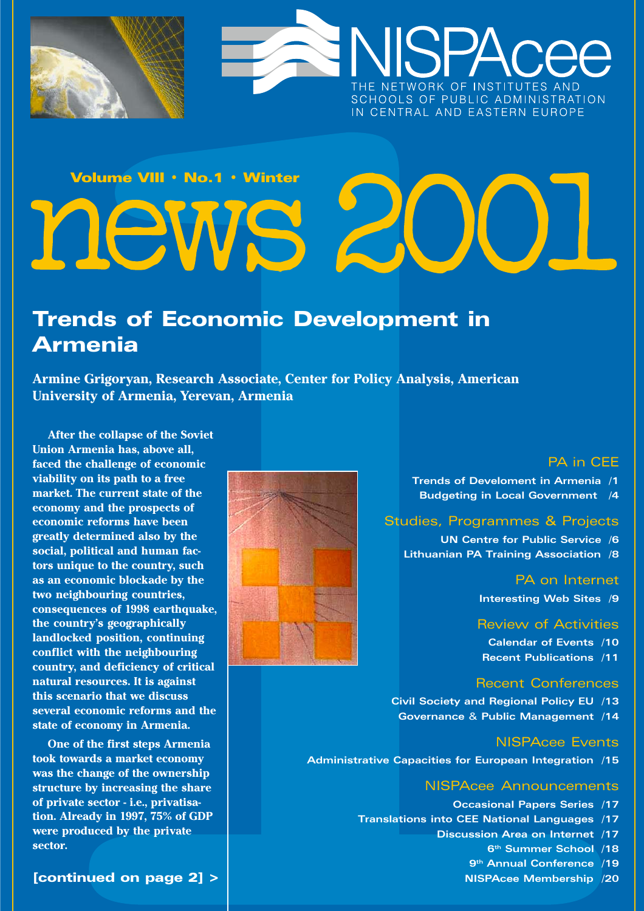



# Volume VIII · No.1 · Winter news 2

# **Trends of Economic Development in Armenia**

Armine Grigoryan, Research Associate, Center for Policy Analysis, American University of Armenia, Yerevan, Armenia

After the collapse of the Soviet Union Armenia has, above all. faced the challenge of economic viability on its path to a free market. The current state of the economy and the prospects of economic reforms have been greatly determined also by the social, political and human factors unique to the country, such as an economic blockade by the two neighbouring countries, consequences of 1998 earthquake, the country's geographically landlocked position, continuing conflict with the neighbouring country, and deficiency of critical natural resources. It is against this scenario that we discuss several economic reforms and the state of economy in Armenia.

One of the first steps Armenia took towards a market economy was the change of the ownership structure by increasing the share of private sector - i.e., privatisation. Already in 1997, 75% of GDP were produced by the private sector.



### **PA in CEE**

Trends of Develoment in Armenia /1 **Budgeting in Local Government** /4

### **Studies, Programmes & Projects**

**UN Centre for Public Service /6** Lithuanian PA Training Association /8

**PA on Internet** 

Interesting Web Sites /9

**Review of Activities** 

**Calendar of Events /10 Recent Publications /11** 

### **Recent Conferences**

Civil Society and Regional Policy EU /13 Governance & Public Management /14

### **NISPAcee Events**

Administrative Capacities for European Integration /15

### **NISPAcee Announcements**

**Occasional Papers Series /17** Translations into CEE National Languages /17 Discussion Area on Internet /17 6<sup>th</sup> Summer School /18

9<sup>th</sup> Annual Conference /19

NISPAcee Membership /20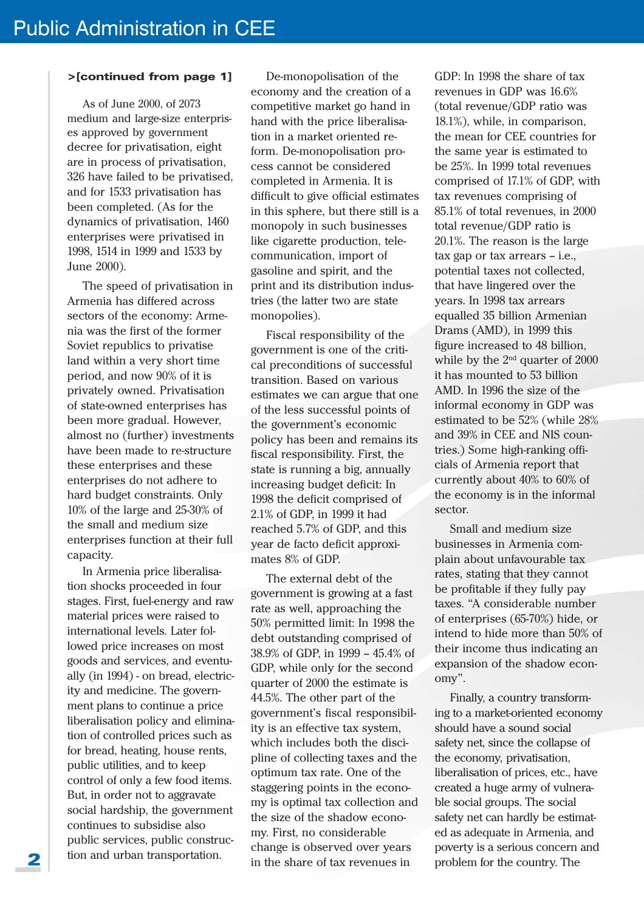### >[continued from page 1]

As of June 2000, of 2073 medium and large-size enterprises approved by government decree for privatisation, eight are in process of privatisation, 326 have failed to be privatised, and for 1533 privatisation has been completed. (As for the dynamics of privatisation, 1460 enterprises were privatised in 1998, 1514 in 1999 and 1533 by June 2000).

The speed of privatisation in Armenia has differed across sectors of the economy: Armenia was the first of the former Soviet republics to privatise land within a very short time period, and now 90% of it is privately owned. Privatisation of state-owned enterprises has been more gradual. However, almost no (further) investments have been made to re-structure these enterprises and these enterprises do not adhere to hard budget constraints. Only  $10\%$  of the large and 25-30% of the small and medium size enterprises function at their full capacity.

In Armenia price liberalisation shocks proceeded in four stages. First, fuel-energy and raw material prices were raised to international levels. Later followed price increases on most goods and services, and eventually (in 1994) - on bread, electricity and medicine. The government plans to continue a price liberalisation policy and elimination of controlled prices such as for bread, heating, house rents, public utilities, and to keep control of only a few food items. But, in order not to aggravate social hardship, the government continues to subsidise also public services, public construction and urban transportation.

De-monopolisation of the economy and the creation of a competitive market go hand in hand with the price liberalisation in a market oriented reform. De-monopolisation process cannot be considered completed in Armenia. It is difficult to give official estimates in this sphere, but there still is a monopoly in such businesses like cigarette production, telecommunication, import of gasoline and spirit, and the print and its distribution industries (the latter two are state monopolies).

Fiscal responsibility of the government is one of the critical preconditions of successful transition. Based on various estimates we can argue that one of the less successful points of the government's economic policy has been and remains its fiscal responsibility. First, the state is running a big, annually increasing budget deficit: In 1998 the deficit comprised of 2.1% of GDP, in 1999 it had reached 5.7% of GDP, and this year de facto deficit approximates 8% of GDP.

The external debt of the government is growing at a fast rate as well, approaching the 50% permitted limit: In 1998 the debt outstanding comprised of 38.9% of GDP, in 1999 - 45.4% of GDP, while only for the second quarter of 2000 the estimate is 44.5%. The other part of the government's fiscal responsibility is an effective tax system, which includes both the discipline of collecting taxes and the optimum tax rate. One of the staggering points in the economy is optimal tax collection and the size of the shadow economy. First, no considerable change is observed over years in the share of tax revenues in

GDP: In 1998 the share of tax revenues in GDP was 16.6% (total revenue/GDP ratio was 18.1%), while, in comparison, the mean for CEE countries for the same year is estimated to be 25%. In 1999 total revenues comprised of 17.1% of GDP, with tax revenues comprising of 85.1% of total revenues, in 2000 total revenue/GDP ratio is 20.1%. The reason is the large  $\frac{1}{2}$  tax gap or tax arrears – i.e., potential taxes not collected, that have lingered over the vears. In 1998 tax arrears equalled 35 billion Armenian Drams (AMD), in 1999 this figure increased to 48 billion, while by the  $2<sup>nd</sup>$  quarter of 2000 it has mounted to 53 billion AMD. In 1996 the size of the informal economy in GDP was estimated to be 52% (while 28% and 39% in CEE and NIS countries.) Some high-ranking officials of Armenia report that currently about 40% to 60% of the economy is in the informal sector.

Small and medium size businesses in Armenia complain about unfavourable tax rates, stating that they cannot be profitable if they fully pay taxes. "A considerable number of enterprises  $(65-70%)$  hide, or intend to hide more than 50% of their income thus indicating an expansion of the shadow economy".

Finally, a country transforming to a market-oriented economy should have a sound social safety net, since the collapse of the economy, privatisation, liberalisation of prices, etc., have created a huge army of vulnerable social groups. The social safety net can hardly be estimated as adequate in Armenia, and poverty is a serious concern and problem for the country. The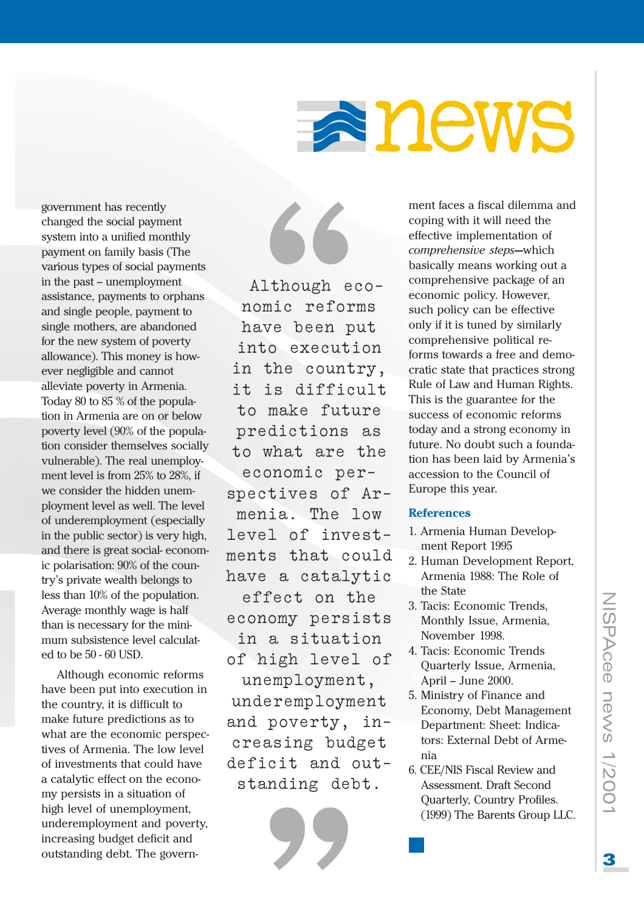# anews

government has recently changed the social payment system into a unified monthly payment on family basis (The various types of social payments in the past – unemployment assistance, payments to orphans and single people, payment to single mothers, are abandoned for the new system of poverty allowance). This money is however negligible and cannot alleviate poverty in Armenia. Today 80 to 85 % of the population in Armenia are on or below poverty level (90% of the population consider themselves socially vulnerable). The real unemployment level is from 25% to 28%, if we consider the hidden unemployment level as well. The level of underemployment (especially in the public sector) is very high, and there is great social-economic polarisation: 90% of the country's private wealth belongs to less than 10% of the population. Average monthly wage is half than is necessary for the minimum subsistence level calculated to be 50 - 60 USD.

Although economic reforms have been put into execution in the country, it is difficult to make future predictions as to what are the economic perspectives of Armenia. The low level of investments that could have a catalytic effect on the economy persists in a situation of high level of unemployment, underemployment and poverty, increasing budget deficit and outstanding debt. The govern-



ment faces a fiscal dilemma and coping with it will need the effective implementation of comprehensive steps-which basically means working out a comprehensive package of an economic policy. However, such policy can be effective only if it is tuned by similarly comprehensive political reforms towards a free and democratic state that practices strong Rule of Law and Human Rights. This is the guarantee for the success of economic reforms today and a strong economy in future. No doubt such a foundation has been laid by Armenia's accession to the Council of Europe this year.

### **References**

- 1. Armenia Human Development Report 1995
- 2. Human Development Report, Armenia 1988: The Role of the State
- 3. Tacis: Economic Trends, Monthly Issue, Armenia. November 1998.
- 4. Tacis: Economic Trends Quarterly Issue, Armenia, April - June 2000.
- 5. Ministry of Finance and Economy, Debt Management Department: Sheet: Indicators: External Debt of Armenia
- 6. CEE/NIS Fiscal Review and Assessment. Draft Second **Ouarterly, Country Profiles.** (1999) The Barents Group LLC.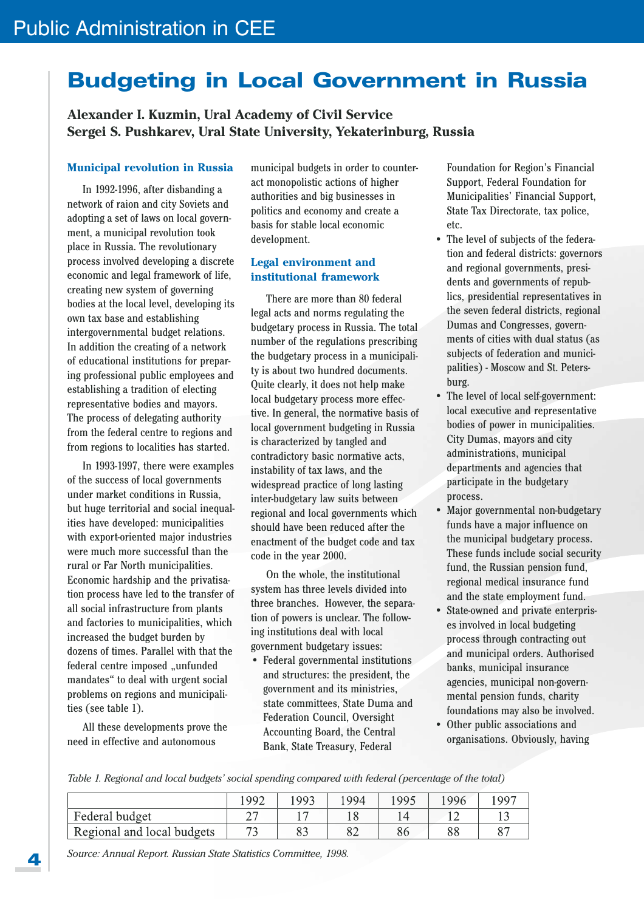# **Budgeting in Local Government in Russia**

Alexander I. Kuzmin, Ural Academy of Civil Service Sergei S. Pushkarev, Ural State University, Yekaterinburg, Russia

### **Municipal revolution in Russia**

In 1992-1996, after disbanding a network of raion and city Soviets and adopting a set of laws on local government, a municipal revolution took place in Russia. The revolutionary process involved developing a discrete economic and legal framework of life, creating new system of governing bodies at the local level, developing its own tax base and establishing intergovernmental budget relations. In addition the creating of a network of educational institutions for preparing professional public employees and establishing a tradition of electing representative bodies and mayors. The process of delegating authority from the federal centre to regions and from regions to localities has started.

In 1993-1997, there were examples of the success of local governments under market conditions in Russia, but huge territorial and social inequalities have developed: municipalities with export-oriented major industries were much more successful than the rural or Far North municipalities. Economic hardship and the privatisation process have led to the transfer of all social infrastructure from plants and factories to municipalities, which increased the budget burden by dozens of times. Parallel with that the federal centre imposed "unfunded mandates" to deal with urgent social problems on regions and municipalities (see table 1).

All these developments prove the need in effective and autonomous

municipal budgets in order to counteract monopolistic actions of higher authorities and big businesses in politics and economy and create a basis for stable local economic development.

### **Legal environment and** institutional framework

There are more than 80 federal legal acts and norms regulating the budgetary process in Russia. The total number of the regulations prescribing the budgetary process in a municipality is about two hundred documents. Quite clearly, it does not help make local budgetary process more effective. In general, the normative basis of local government budgeting in Russia is characterized by tangled and contradictory basic normative acts, instability of tax laws, and the widespread practice of long lasting inter-budgetary law suits between regional and local governments which should have been reduced after the enactment of the budget code and tax code in the year 2000.

On the whole, the institutional system has three levels divided into three branches. However, the separation of powers is unclear. The following institutions deal with local government budgetary issues:

• Federal governmental institutions and structures: the president, the government and its ministries, state committees, State Duma and **Federation Council, Oversight Accounting Board, the Central** Bank, State Treasury, Federal

Foundation for Region's Financial Support, Federal Foundation for Municipalities' Financial Support, State Tax Directorate, tax police, etc.

- The level of subjects of the federation and federal districts: governors and regional governments, presidents and governments of republics, presidential representatives in the seven federal districts, regional Dumas and Congresses, governments of cities with dual status (as subjects of federation and municipalities) - Moscow and St. Petersburg.
- The level of local self-government: local executive and representative bodies of power in municipalities. City Dumas, mayors and city administrations, municipal departments and agencies that participate in the budgetary process.
- Major governmental non-budgetary funds have a major influence on the municipal budgetary process. These funds include social security fund, the Russian pension fund, regional medical insurance fund and the state employment fund.
- State-owned and private enterprises involved in local budgeting process through contracting out and municipal orders. Authorised banks, municipal insurance agencies, municipal non-governmental pension funds, charity foundations may also be involved.
- Other public associations and organisations. Obviously, having

Table 1. Regional and local budgets' social spending compared with federal (percentage of the total)

|                            | $199^\circ$              | .993 | 1994 | 995 | 1996 | 1997           |
|----------------------------|--------------------------|------|------|-----|------|----------------|
| Federal budget             |                          |      |      |     |      |                |
| Regional and local budgets | $\overline{\phantom{a}}$ |      | 0∠   | 86  | 88   | O <sub>7</sub> |

Source: Annual Report. Russian State Statistics Committee, 1998.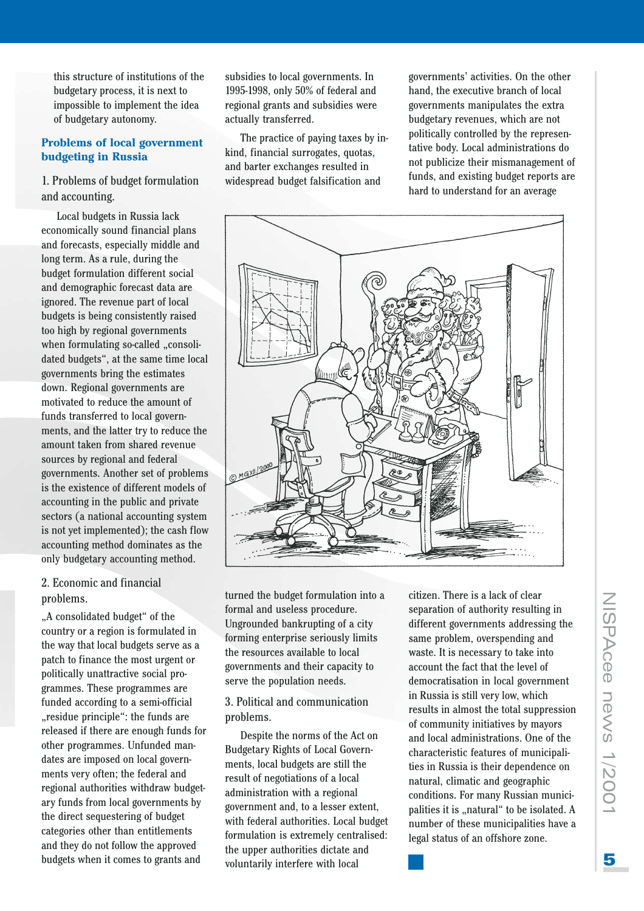this structure of institutions of the budgetary process, it is next to impossible to implement the idea of budgetary autonomy.

### **Problems of local government budgeting in Russia**

### 1. Problems of budget formulation and accounting.

Local budgets in Russia lack economically sound financial plans and forecasts, especially middle and long term. As a rule, during the budget formulation different social and demographic forecast data are ignored. The revenue part of local budgets is being consistently raised too high by regional governments when formulating so-called "consolidated budgets", at the same time local governments bring the estimates down. Regional governments are motivated to reduce the amount of funds transferred to local governments, and the latter try to reduce the amount taken from shared revenue sources by regional and federal governments. Another set of problems is the existence of different models of accounting in the public and private sectors (a national accounting system is not yet implemented); the cash flow accounting method dominates as the only budgetary accounting method.

### 2. Economic and financial problems.

"A consolidated budget" of the country or a region is formulated in the way that local budgets serve as a patch to finance the most urgent or politically unattractive social programmes. These programmes are funded according to a semi-official "residue principle": the funds are released if there are enough funds for other programmes. Unfunded mandates are imposed on local governments very often; the federal and regional authorities withdraw budgetary funds from local governments by the direct sequestering of budget categories other than entitlements and they do not follow the approved budgets when it comes to grants and

subsidies to local governments. In 1995-1998, only 50% of federal and regional grants and subsidies were actually transferred.

The practice of paying taxes by inkind, financial surrogates, quotas, and barter exchanges resulted in widespread budget falsification and

governments' activities. On the other hand, the executive branch of local governments manipulates the extra budgetary revenues, which are not politically controlled by the representative body. Local administrations do not publicize their mismanagement of funds, and existing budget reports are hard to understand for an average



turned the budget formulation into a formal and useless procedure. Ungrounded bankrupting of a city forming enterprise seriously limits the resources available to local governments and their capacity to serve the population needs.

### 3. Political and communication problems.

Despite the norms of the Act on **Budgetary Rights of Local Govern**ments, local budgets are still the result of negotiations of a local administration with a regional government and, to a lesser extent, with federal authorities. Local budget formulation is extremely centralised: the upper authorities dictate and voluntarily interfere with local

citizen. There is a lack of clear separation of authority resulting in different governments addressing the same problem, overspending and waste. It is necessary to take into account the fact that the level of democratisation in local government in Russia is still very low, which results in almost the total suppression of community initiatives by mayors and local administrations. One of the characteristic features of municipalities in Russia is their dependence on natural, climatic and geographic conditions. For many Russian municipalities it is "natural" to be isolated. A number of these municipalities have a legal status of an offshore zone.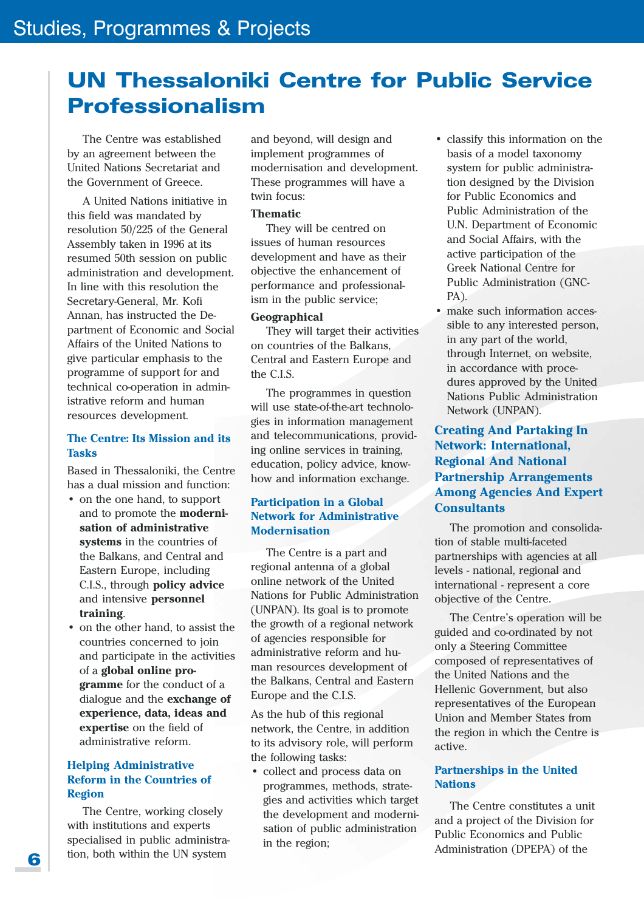# **UN Thessaloniki Centre for Public Service Professionalism**

The Centre was established by an agreement between the United Nations Secretariat and the Government of Greece.

A United Nations initiative in this field was mandated by resolution 50/225 of the General Assembly taken in 1996 at its resumed 50th session on public administration and development. In line with this resolution the Secretary-General, Mr. Kofi Annan, has instructed the Department of Economic and Social Affairs of the United Nations to give particular emphasis to the programme of support for and technical co-operation in administrative reform and human resources development.

### **The Centre: Its Mission and its Tacke**

Based in Thessaloniki, the Centre has a dual mission and function:

- on the one hand, to support and to promote the **moderni**sation of administrative systems in the countries of the Balkans, and Central and Eastern Europe, including C.I.S., through policy advice and intensive personnel training.
- on the other hand, to assist the countries concerned to join and participate in the activities of a global online programme for the conduct of a dialogue and the exchange of experience, data, ideas and expertise on the field of administrative reform.

### **Helping Administrative Reform in the Countries of Region**

The Centre, working closely with institutions and experts specialised in public administration, both within the UN system

and beyond, will design and implement programmes of modernisation and development. These programmes will have a twin focus:

### **Thematic**

They will be centred on issues of human resources development and have as their objective the enhancement of performance and professionalism in the public service;

### **Geographical**

They will target their activities on countries of the Balkans, Central and Eastern Europe and the C.L.S.

The programmes in question will use state-of-the-art technologies in information management and telecommunications, providing online services in training, education, policy advice, knowhow and information exchange.

### **Participation in a Global Network for Administrative Modernisation**

The Centre is a part and regional antenna of a global online network of the United Nations for Public Administration (UNPAN). Its goal is to promote the growth of a regional network of agencies responsible for administrative reform and human resources development of the Balkans, Central and Eastern Europe and the C.I.S.

As the hub of this regional network, the Centre, in addition to its advisory role, will perform the following tasks:

• collect and process data on programmes, methods, strategies and activities which target the development and modernisation of public administration in the region;

- classify this information on the basis of a model taxonomy system for public administration designed by the Division for Public Economics and Public Administration of the U.N. Department of Economic and Social Affairs, with the active participation of the **Greek National Centre for** Public Administration (GNC-PA).
- make such information accessible to any interested person. in any part of the world. through Internet, on website, in accordance with procedures approved by the United **Nations Public Administration** Network (UNPAN).

### **Creating And Partaking In Network: International, Regional And National Partnership Arrangements Among Agencies And Expert Consultants**

The promotion and consolidation of stable multi-faceted partnerships with agencies at all levels - national, regional and international - represent a core objective of the Centre.

The Centre's operation will be guided and co-ordinated by not only a Steering Committee composed of representatives of the United Nations and the Hellenic Government, but also representatives of the European Union and Member States from the region in which the Centre is active.

### **Partnerships in the United Nations**

The Centre constitutes a unit and a project of the Division for Public Economics and Public Administration (DPEPA) of the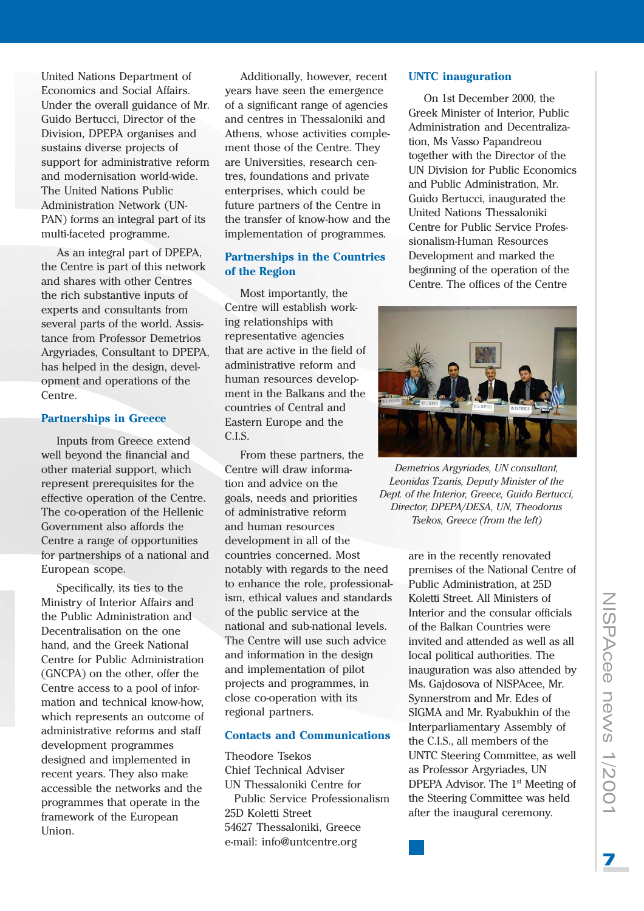United Nations Department of Economics and Social Affairs. Under the overall guidance of Mr. Guido Bertucci, Director of the Division, DPEPA organises and sustains diverse projects of support for administrative reform and modernisation world-wide. The United Nations Public Administration Network (UN-PAN) forms an integral part of its multi-faceted programme.

As an integral part of DPEPA, the Centre is part of this network and shares with other Centres the rich substantive inputs of experts and consultants from several parts of the world. Assistance from Professor Demetrios Argyriades, Consultant to DPEPA. has helped in the design, development and operations of the Centre.

### **Partnerships in Greece**

Inputs from Greece extend well beyond the financial and other material support, which represent prerequisites for the effective operation of the Centre. The co-operation of the Hellenic Government also affords the Centre a range of opportunities for partnerships of a national and European scope.

Specifically, its ties to the Ministry of Interior Affairs and the Public Administration and Decentralisation on the one hand, and the Greek National Centre for Public Administration (GNCPA) on the other, offer the Centre access to a pool of information and technical know-how, which represents an outcome of administrative reforms and staff development programmes designed and implemented in recent years. They also make accessible the networks and the programmes that operate in the framework of the European Union.

Additionally, however, recent vears have seen the emergence of a significant range of agencies and centres in Thessaloniki and Athens, whose activities complement those of the Centre. They are Universities, research centres, foundations and private enterprises, which could be future partners of the Centre in the transfer of know-how and the implementation of programmes.

### **Partnerships in the Countries** of the Region

Most importantly, the Centre will establish working relationships with representative agencies that are active in the field of administrative reform and human resources development in the Balkans and the countries of Central and Eastern Europe and the  $CL.S.$ 

From these partners, the Centre will draw information and advice on the goals, needs and priorities of administrative reform and human resources development in all of the countries concerned. Most notably with regards to the need to enhance the role, professionalism, ethical values and standards of the public service at the national and sub-national levels. The Centre will use such advice and information in the design and implementation of pilot projects and programmes, in close co-operation with its regional partners.

### **Contacts and Communications**

**Theodore Tsekos** Chief Technical Adviser UN Thessaloniki Centre for Public Service Professionalism 25D Koletti Street 54627 Thessaloniki, Greece e-mail: info@untcentre.org

### **UNTC** inauguration

On 1st December 2000, the Greek Minister of Interior, Public Administration and Decentralization, Ms Vasso Papandreou together with the Director of the UN Division for Public Economics and Public Administration, Mr. Guido Bertucci, inaugurated the United Nations Thessaloniki Centre for Public Service Professionalism-Human Resources Development and marked the beginning of the operation of the Centre. The offices of the Centre



Demetrios Argyriades, UN consultant, Leonidas Tzanis, Deputy Minister of the Dept. of the Interior, Greece, Guido Bertucci, Director, DPEPA/DESA, UN, Theodorus Tsekos, Greece (from the left)

are in the recently renovated premises of the National Centre of Public Administration, at 25D Koletti Street. All Ministers of Interior and the consular officials of the Balkan Countries were invited and attended as well as all local political authorities. The inauguration was also attended by Ms. Gajdosova of NISPAcee, Mr. Synnerstrom and Mr. Edes of SIGMA and Mr. Ryabukhin of the Interparliamentary Assembly of the C.I.S., all members of the UNTC Steering Committee, as well as Professor Argyriades, UN DPEPA Advisor. The 1<sup>st</sup> Meeting of the Steering Committee was held after the inaugural ceremony.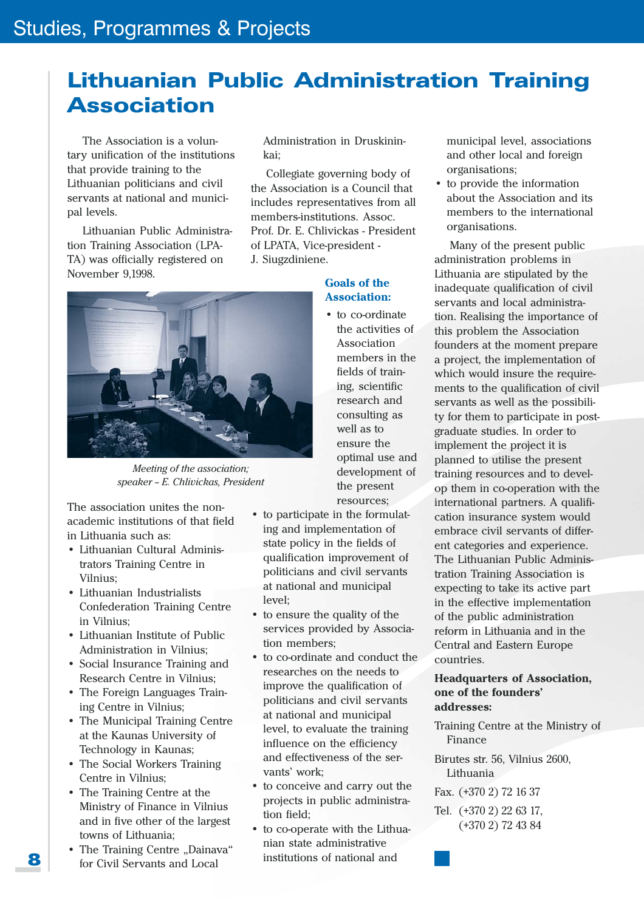# **Lithuanian Public Administration Training Association**

The Association is a voluntary unification of the institutions that provide training to the Lithuanian politicians and civil servants at national and municipal levels.

Lithuanian Public Administration Training Association (LPA-TA) was officially registered on November 9.1998.

Administration in Druskinin $k$ ai·

Collegiate governing body of the Association is a Council that includes representatives from all members-institutions. Assoc. Prof. Dr. E. Chlivickas - President of LPATA, Vice-president -J. Siugzdiniene.

### **Goals of the Association:**

• to co-ordinate the activities of **Association** members in the fields of training. scientific research and consulting as well as to ensure the optimal use and development of the present resources;

Meeting of the association: speaker - E. Chlivickas, President

The association unites the nonacademic institutions of that field in Lithuania such as:

- Lithuanian Cultural Administrators Training Centre in Vilnius:
- Lithuanian Industrialists **Confederation Training Centre** in Vilnius:
- Lithuanian Institute of Public Administration in Vilnius:
- Social Insurance Training and Research Centre in Vilnius;
- The Foreign Languages Training Centre in Vilnius;
- The Municipal Training Centre at the Kaunas University of Technology in Kaunas;
- The Social Workers Training Centre in Vilnius:
- The Training Centre at the Ministry of Finance in Vilnius and in five other of the largest towns of Lithuania;
- The Training Centre "Dainava" for Civil Servants and Local

• to participate in the formulating and implementation of state policy in the fields of qualification improvement of politicians and civil servants at national and municipal level:

- to ensure the quality of the services provided by Association members:
- to co-ordinate and conduct the researches on the needs to improve the qualification of politicians and civil servants at national and municipal level, to evaluate the training influence on the efficiency and effectiveness of the servants' work:
- to conceive and carry out the projects in public administration field;
- to co-operate with the Lithuanian state administrative institutions of national and

municipal level, associations and other local and foreign organisations;

• to provide the information about the Association and its members to the international organisations.

Many of the present public administration problems in Lithuania are stipulated by the inadequate qualification of civil servants and local administration. Realising the importance of this problem the Association founders at the moment prepare a project, the implementation of which would insure the requirements to the qualification of civil servants as well as the possibility for them to participate in postgraduate studies. In order to implement the project it is planned to utilise the present training resources and to develop them in co-operation with the international partners. A qualification insurance system would embrace civil servants of different categories and experience. The Lithuanian Public Administration Training Association is expecting to take its active part in the effective implementation of the public administration reform in Lithuania and in the Central and Eastern Europe countries.

### **Headquarters of Association,** one of the founders' addresses:

- Training Centre at the Ministry of Finance
- Birutes str. 56. Vilnius 2600. Lithuania
- Fax. (+370 2) 72 16 37
- Tel. (+370 2) 22 63 17,  $(+3702)$  72 43 84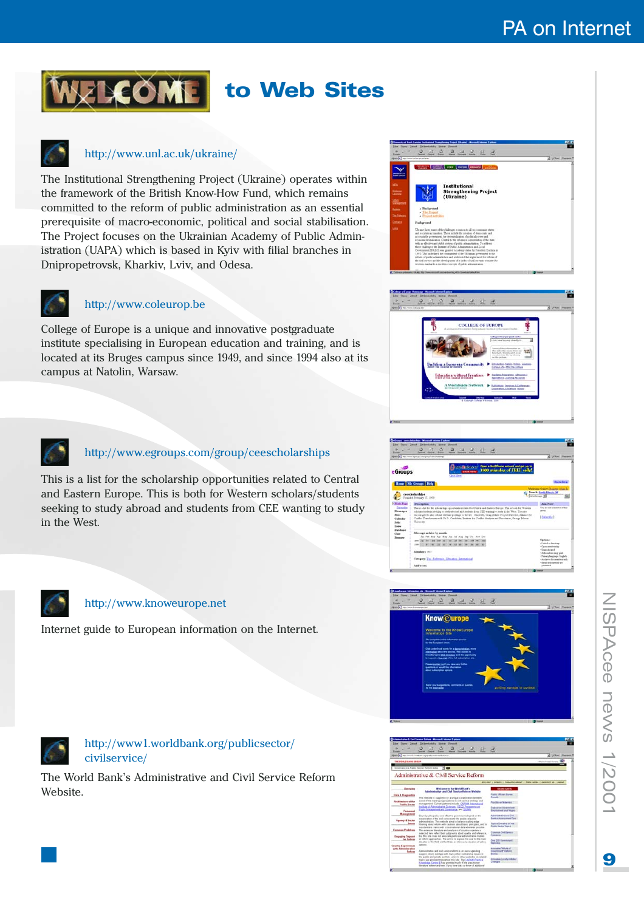# to Web Sites

### http://www.unl.ac.uk/ukraine/

The Institutional Strengthening Project (Ukraine) operates within the framework of the British Know-How Fund, which remains committed to the reform of public administration as an essential prerequisite of macro-economic, political and social stabilisation. The Project focuses on the Ukrainian Academy of Public Administration (UAPA) which is based in Kyiv with filial branches in Dnipropetrovsk, Kharkiv, Lviv, and Odesa.



### http://www.coleurop.be

College of Europe is a unique and innovative postgraduate institute specialising in European education and training, and is located at its Bruges campus since 1949, and since 1994 also at its campus at Natolin, Warsaw.



### http://www.egroups.com/group/ceescholarships

This is a list for the scholarship opportunities related to Central and Eastern Europe. This is both for Western scholars/students seeking to study abroad and students from CEE wanting to study in the West.





### http://www.knoweurope.net

Internet guide to European information on the Internet.





### http://www1.worldbank.org/publicsector/ civilservice/

The World Bank's Administrative and Civil Service Reform Website.

| <b>Silver</b><br><b>Expand</b>                                                                                                                                                                                                                                                                                        | a & Cod Tarring Robert - Massach Sale<br>and if statement<br>Dridwei odoby<br><b>Planet</b><br>Tance<br>Additional and contact and the first field of the Challenge                                                                                                                                                                                                                                                                                                                                                                                                                                                                                                                                                                                                                                                                                                                                                                                                                                                                                                                                                                                                                                                                                                                                                                                                                                                                                                                                                        |                                                                                                                                                                                                                                                                                                                                                                                                                                                                                                                               | . John Peer                   |
|-----------------------------------------------------------------------------------------------------------------------------------------------------------------------------------------------------------------------------------------------------------------------------------------------------------------------|----------------------------------------------------------------------------------------------------------------------------------------------------------------------------------------------------------------------------------------------------------------------------------------------------------------------------------------------------------------------------------------------------------------------------------------------------------------------------------------------------------------------------------------------------------------------------------------------------------------------------------------------------------------------------------------------------------------------------------------------------------------------------------------------------------------------------------------------------------------------------------------------------------------------------------------------------------------------------------------------------------------------------------------------------------------------------------------------------------------------------------------------------------------------------------------------------------------------------------------------------------------------------------------------------------------------------------------------------------------------------------------------------------------------------------------------------------------------------------------------------------------------------|-------------------------------------------------------------------------------------------------------------------------------------------------------------------------------------------------------------------------------------------------------------------------------------------------------------------------------------------------------------------------------------------------------------------------------------------------------------------------------------------------------------------------------|-------------------------------|
| THE MORLE SAME DRIVE<br>Government & Future Sector Refuse Steps                                                                                                                                                                                                                                                       | $ x $ dis-                                                                                                                                                                                                                                                                                                                                                                                                                                                                                                                                                                                                                                                                                                                                                                                                                                                                                                                                                                                                                                                                                                                                                                                                                                                                                                                                                                                                                                                                                                                 |                                                                                                                                                                                                                                                                                                                                                                                                                                                                                                                               | <b>A discuss that and the</b> |
|                                                                                                                                                                                                                                                                                                                       | Administrative & Civil Service Reform                                                                                                                                                                                                                                                                                                                                                                                                                                                                                                                                                                                                                                                                                                                                                                                                                                                                                                                                                                                                                                                                                                                                                                                                                                                                                                                                                                                                                                                                                      | UTE MAP : EVENTS : THEMATIC UROUP : PREMINOTES / CONTINCT US 1 ABOUT                                                                                                                                                                                                                                                                                                                                                                                                                                                          |                               |
| Overview<br><b>Data &amp; Diagnostics</b><br><b>Bushineshare of the</b><br><b>Public Sector</b><br>Fernand<br><b>Wanagement</b><br><b>Agency &amp; Sector</b><br><b>Common Problems</b><br>Engaging Support<br><b><i><u>Sar Balloom</u></i></b><br><b>Country Experiences</b><br>with Administrative<br><b>Hafarm</b> | Welcame to the World Saut's<br><b>Administrative and Clut Service Return Website</b><br>This website is supported by a unique callaboration between<br>some of the leading superinstiants in civil senior strategy and<br>management. Current partners include: CAPAM, international<br>huttule of Administrative Sciences, CICCD Programma and<br>Futto Management and Governance, and Stirlett<br>Stored public policy and effective proprietants depend on the<br>separation of the call samice and the quality of public<br>administration. This website gives to balance cultivaryings.<br>thraking about refurn with cautions about basic principles, and to<br>substantiate claims with cross-national data whenever boosting.<br>The extensive literature and snatuses of country experience<br>selected here reflect best subgrunts about quality and relevance.<br>but this jobs dues not admitted particular administrative muttels.<br>or vehicle approaches. The are is to expose the user to the main<br>debates in the field and facilitate an informed evaluation of action<br><b>Address</b><br>Administrative and civil service reform in an even expanding<br>subject, adult inerlaps with many other mithulional injues or<br>the public and private sectors. Loks to other websites on related<br>basics are provided throughout this site. The CATAM Fractical<br>Kinnels that Cardia 10 has provided much of the practitioner<br>literature referenced here. If you have data or know of additional | <b>RIGHLIGHTS</b><br><b>FLASH CIRCUITS SUPPORT</b><br><b>Based</b> s<br><b>Processment Materialist</b><br><b>Cutatator Government</b><br>Engineerd and maps<br><b>Administrative and Cad</b><br><b>Earning Assessment Taxi</b><br>Training Tradiate's Jun Hot<br>Fuldo Switzy Town 5<br><b>Cammon Cad Exercise</b><br><b>Printmann</b><br><b>That 250 Deservings &amp;</b><br>Websites<br><b>Internative Villable of</b><br><b>Engineering Business</b><br><b>Brokers</b><br>International Contractor Institute of<br>Cheigen | м                             |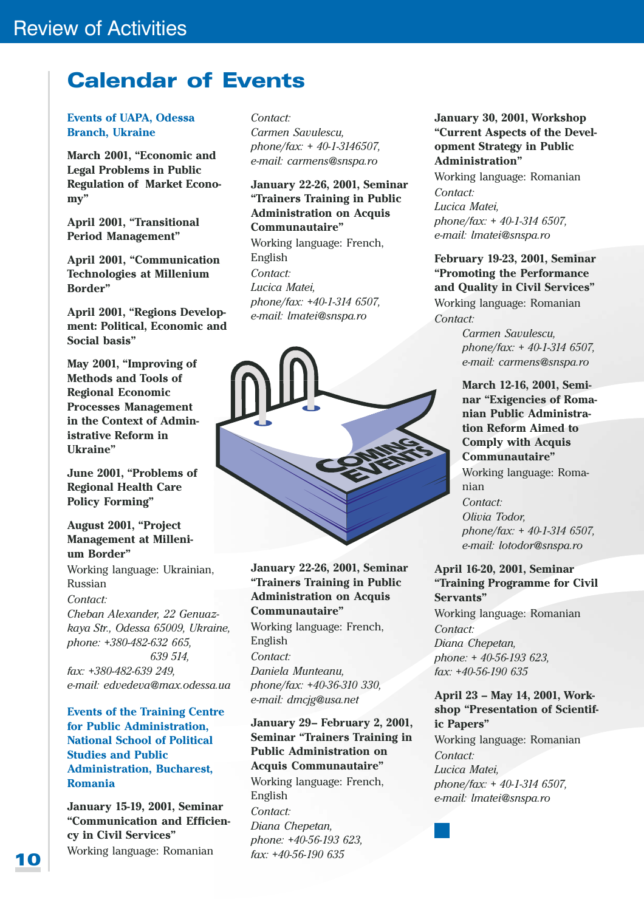# **Calendar of Events**

### **Events of UAPA. Odessa Branch, Ukraine**

March 2001, "Economic and **Legal Problems in Public Regulation of Market Econo** $my"$ 

April 2001, "Transitional **Period Management"** 

April 2001, "Communication **Technologies at Millenium Border**"

April 2001, "Regions Development: Political, Economic and Social basis"

May 2001. "Improving of **Methods and Tools of Regional Economic Processes Management** in the Context of Administrative Reform in Ukraine"

June 2001, "Problems of **Regional Health Care Policy Forming"** 

### **August 2001, "Project Management at Milleni**um Border"

Working language: Ukrainian, Russian

### Contact<sup>.</sup>

Cheban Alexander, 22 Genuazkaya Str., Odessa 65009, Ukraine, phone: +380-482-632 665, 639 514  $\text{fax}: +380-482-6392$ e-mail: edvedeva@max.odessa.ua

**Events of the Training Centre** for Public Administration. **National School of Political Studies and Public Administration, Bucharest, Romania** 

**January 15-19, 2001, Seminar** "Communication and Efficiency in Civil Services" Working language: Romanian

Contact: Carmen Savulescu, phone/fax:  $+40-1-3146507$ , e-mail: carmens@snspa.ro

**January 22-26, 2001, Seminar** "Trainers Training in Public **Administration on Acquis Communautaire"** 

Working language: French, English Contact: Lucica Matei. phone/fax: +40-1-314 6507, e-mail: Imatei@snspa.ro



**January 22-26, 2001, Seminar** "Trainers Training in Public **Administration on Acquis** Communautaire" Working language: French, English Contact: Daniela Munteanu. phone/fax: +40-36-310 330.

e-mail: dmcjg@usa.net

 $\text{fax: } +40-56-190635$ 

January 29- February 2, 2001, **Seminar "Trainers Training in Public Administration on Acquis Communautaire"** Working language: French, English Contact: Diana Chepetan, phone: +40-56-193 623,

January 30, 2001. Workshop "Current Aspects of the Development Strategy in Public Administration"

Working language: Romanian Contact<sup>-</sup> Lucica Matei, phone/fax:  $+40-1-3146507$ . e-mail: Imatei@snspa.ro

February 19-23, 2001, Seminar "Promoting the Performance" and Quality in Civil Services" Working language: Romanian Contact:

> Carmen Savulescu, phone/fax: + 40-1-314 6507, e-mail: carmens@snspa.ro

March 12-16, 2001, Seminar "Exigencies of Romanian Public Administration Reform Aimed to **Comply with Acquis** Communautaire" Working language: Romanian  $\text{Context}$ Olivia Todor. phone/fax:  $+$  40-1-314 6507, e-mail: lotodor@snspa.ro

### April 16-20, 2001, Seminar "Training Programme for Civil Servants"

Working language: Romanian Contact: Diana Chepetan, phone: +40-56-193 623. fax: +40-56-190 635

### April 23 - May 14, 2001, Workshop "Presentation of Scientific Papers"

Working language: Romanian Contact: Lucica Matei, phone/fax:  $+40-1-3146507$ , e-mail: Imatei@snspa.ro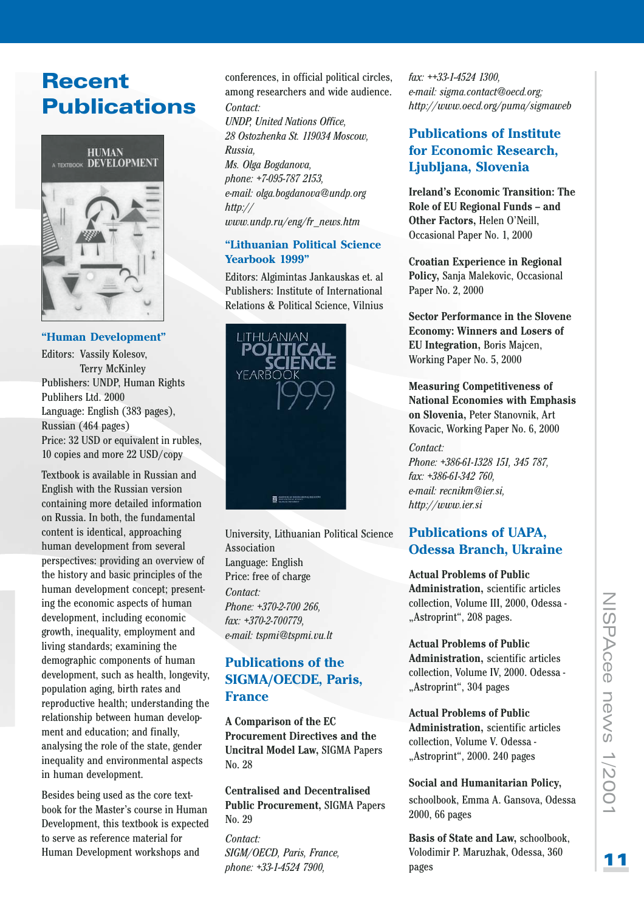# **Recent Publications**



### "Human Development"

Editors: Vassily Kolesov, **Terry McKinley** Publishers: UNDP, Human Rights Publihers Ltd. 2000 Language: English (383 pages). Russian (464 pages) Price: 32 USD or equivalent in rubles. 10 copies and more 22 USD/copy

Textbook is available in Russian and English with the Russian version containing more detailed information on Russia. In both, the fundamental content is identical, approaching human development from several perspectives: providing an overview of the history and basic principles of the human development concept: presenting the economic aspects of human development, including economic growth, inequality, employment and living standards: examining the demographic components of human development, such as health, longevity, population aging, birth rates and reproductive health; understanding the relationship between human development and education; and finally, analysing the role of the state, gender inequality and environmental aspects in human development.

Besides being used as the core textbook for the Master's course in Human Development, this textbook is expected to serve as reference material for Human Development workshops and

conferences, in official political circles, among researchers and wide audience.  $Context<sup>+</sup>$ **UNDP, United Nations Office,** 28 Ostozhenka St. 119034 Moscow, **Russia** Ms. Olga Bogdanova, phone: +7-095-787 2153, e-mail: olga.bogdanova@undp.org  $http://$ www.undp.ru/eng/fr\_news.htm

### "Lithuanian Political Science Yearbook 1999"

Editors: Algimintas Jankauskas et. al Publishers: Institute of International Relations & Political Science, Vilnius



University, Lithuanian Political Science **Association** Language: English Price: free of charge Contact: Phone: +370-2-700 266. fax: +370-2-700779. e-mail: tspmi@tspmi.vu.lt

### **Publications of the SIGMA/OECDE, Paris, France**

A Comparison of the EC **Procurement Directives and the Uncitral Model Law, SIGMA Papers** No. 28

**Centralised and Decentralised Public Procurement, SIGMA Papers** No. 29

Contact: SIGM/OECD, Paris, France, phone: +33-1-4524 7900,

fax: ++33-1-4524 1300, e-mail: sigma.contact@oecd.org; http://www.oecd.org/puma/sigmaweb

### **Publications of Institute** for Economic Research. Ljubljana, Slovenia

**Ireland's Economic Transition: The** Role of EU Regional Funds - and Other Factors, Helen O'Neill, Occasional Paper No. 1, 2000

**Croatian Experience in Regional** Policy, Sanja Malekovic, Occasional Paper No. 2, 2000

**Sector Performance in the Slovene Economy: Winners and Losers of** EU Integration, Boris Majcen, Working Paper No. 5, 2000

**Measuring Competitiveness of National Economies with Emphasis** on Slovenia, Peter Stanovnik, Art Kovacic, Working Paper No. 6, 2000

### $Context$

Phone: +386-61-1328 151, 345 787. fax: +386-61-342 760, e-mail: recnikm@ier.si, http://www.ier.si

### **Publications of UAPA, Odessa Branch, Ukraine**

**Actual Problems of Public Administration**, scientific articles collection, Volume III, 2000, Odessa -"Astroprint", 208 pages.

**Actual Problems of Public Administration**, scientific articles collection, Volume IV, 2000. Odessa -"Astroprint", 304 pages

### **Actual Problems of Public** Administration, scientific articles

collection. Volume V. Odessa -"Astroprint", 2000. 240 pages

Social and Humanitarian Policy, schoolbook, Emma A. Gansova, Odessa

2000, 66 pages

**Basis of State and Law. schoolbook.** Volodimir P. Maruzhak, Odessa, 360 pages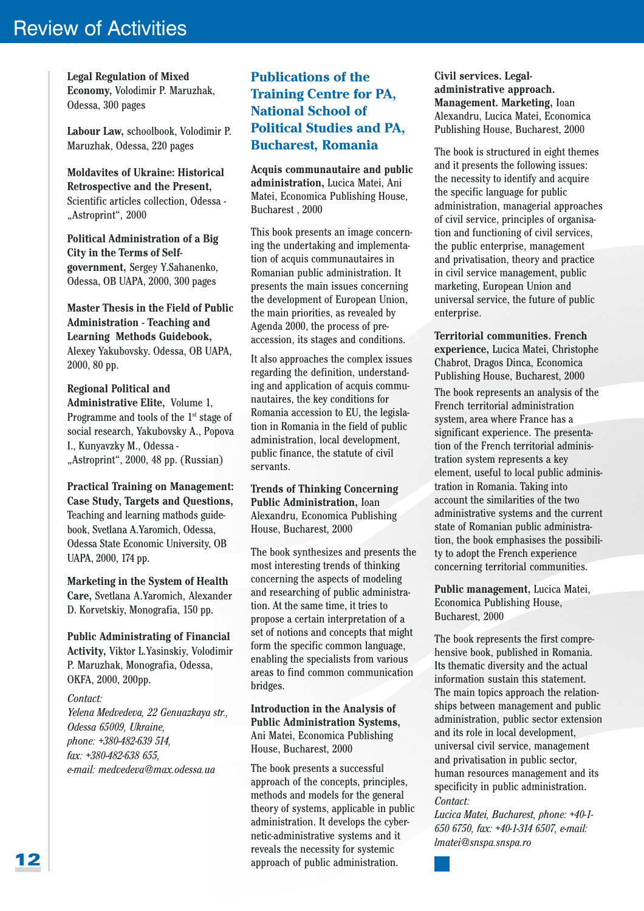**Legal Regulation of Mixed** Economy, Volodimir P. Maruzhak. Odessa, 300 pages

Labour Law, schoolbook, Volodimir P. Maruzhak, Odessa, 220 pages

**Moldavites of Ukraine: Historical Retrospective and the Present.** Scientific articles collection. Odessa -"Astroprint", 2000

Political Administration of a Big **City in the Terms of Self**government, Sergey Y.Sahanenko, Odessa, OB UAPA, 2000, 300 pages

**Master Thesis in the Field of Public Administration - Teaching and** Learning Methods Guidebook, Alexey Yakubovsky. Odessa, OB UAPA, 2000, 80 pp.

**Regional Political and** Administrative Elite, Volume 1, Programme and tools of the 1<sup>st</sup> stage of social research, Yakubovsky A., Popova I., Kunyavzky M., Odessa -"Astroprint", 2000, 48 pp. (Russian)

**Practical Training on Management: Case Study, Targets and Questions,** Teaching and learning mathods guidebook, Svetlana A. Yaromich, Odessa. Odessa State Economic University, OB UAPA, 2000, 174 pp.

Marketing in the System of Health Care, Svetlana A.Yaromich, Alexander D. Korvetskiy, Monografia, 150 pp.

**Public Administrating of Financial** Activity, Viktor L.Yasinskiy, Volodimir P. Maruzhak, Monografia, Odessa, OKFA, 2000, 200pp.

### Contact:

Yelena Medvedeva, 22 Genuazkaya str., Odessa 65009, Ukraine, phone: +380-482-639 514. fax: +380-482-638 655, e-mail: medvedeva@max.odessa.ua

### **Publications of the Training Centre for PA, National School of Political Studies and PA. Bucharest, Romania**

Acquis communautaire and public administration, Lucica Matei, Ani Matei, Economica Publishing House, Bucharest, 2000

This book presents an image concerning the undertaking and implementation of acquis communautaires in Romanian public administration. It presents the main issues concerning the development of European Union, the main priorities, as revealed by Agenda 2000, the process of preaccession, its stages and conditions.

It also approaches the complex issues regarding the definition, understanding and application of acquis communautaires, the key conditions for Romania accession to EU, the legislation in Romania in the field of public administration, local development, public finance, the statute of civil servants.

**Trends of Thinking Concerning** Public Administration, Ioan Alexandru, Economica Publishing House, Bucharest, 2000

The book synthesizes and presents the most interesting trends of thinking concerning the aspects of modeling and researching of public administration. At the same time, it tries to propose a certain interpretation of a set of notions and concepts that might form the specific common language, enabling the specialists from various areas to find common communication bridges.

### **Introduction in the Analysis of Public Administration Systems,** Ani Matei, Economica Publishing House, Bucharest, 2000

The book presents a successful approach of the concepts, principles, methods and models for the general theory of systems, applicable in public administration. It develops the cybernetic-administrative systems and it reveals the necessity for systemic approach of public administration.

Civil services. Legaladministrative approach. Management. Marketing, Ioan Alexandru, Lucica Matei, Economica Publishing House, Bucharest, 2000

The book is structured in eight themes and it presents the following issues: the necessity to identify and acquire the specific language for public administration, managerial approaches of civil service, principles of organisation and functioning of civil services. the public enterprise, management and privatisation, theory and practice in civil service management, public marketing, European Union and universal service, the future of public enterprise.

**Territorial communities. French** experience, Lucica Matei, Christophe Chabrot, Dragos Dinca, Economica Publishing House, Bucharest, 2000

The book represents an analysis of the French territorial administration system, area where France has a significant experience. The presentation of the French territorial administration system represents a key element, useful to local public administration in Romania. Taking into account the similarities of the two administrative systems and the current state of Romanian public administration, the book emphasises the possibility to adopt the French experience concerning territorial communities.

Public management. Lucica Matei. **Economica Publishing House,** Bucharest, 2000

The book represents the first comprehensive book, published in Romania. Its thematic diversity and the actual information sustain this statement. The main topics approach the relationships between management and public administration, public sector extension and its role in local development, universal civil service, management and privatisation in public sector, human resources management and its specificity in public administration. Contact:

Lucica Matei, Bucharest, phone: +40-1-650 6750, fax: +40-1-314 6507, e-mail: lmatei@snspa.snspa.ro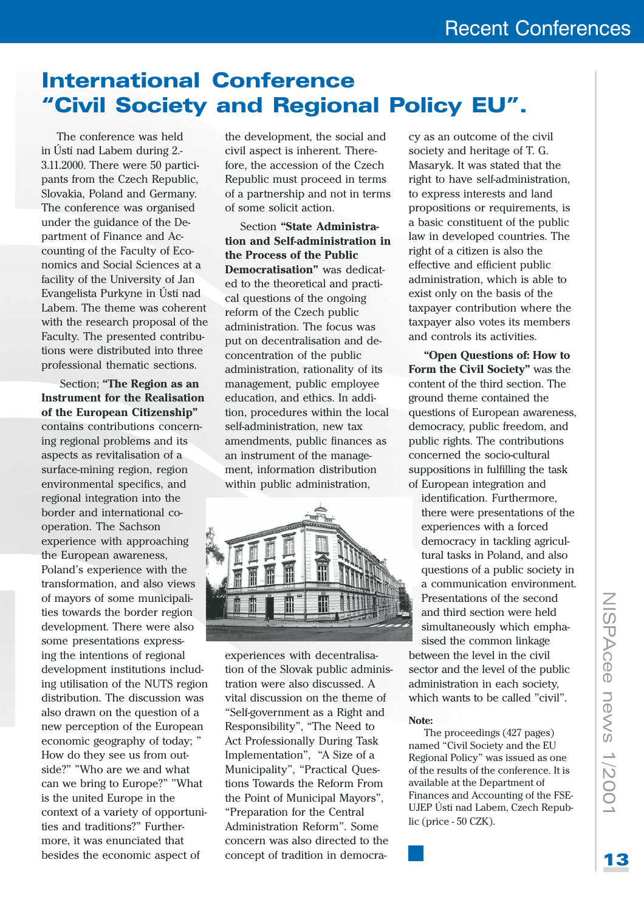# **International Conference** "Civil Society and Regional Policy EU".

The conference was held in Ústí nad Labem during 2.-3.11.2000. There were 50 participants from the Czech Republic. Slovakia, Poland and Germany. The conference was organised under the guidance of the Department of Finance and Accounting of the Faculty of Economics and Social Sciences at a facility of the University of Jan Evangelista Purkyne in Ústí nad Labem. The theme was coherent with the research proposal of the Faculty. The presented contributions were distributed into three professional thematic sections.

Section; "The Region as an **Instrument for the Realisation** of the European Citizenship" contains contributions concerning regional problems and its aspects as revitalisation of a surface-mining region, region environmental specifics, and regional integration into the border and international cooperation. The Sachson experience with approaching the European awareness, Poland's experience with the transformation, and also views of mayors of some municipalities towards the border region development. There were also some presentations expressing the intentions of regional development institutions including utilisation of the NUTS region distribution. The discussion was also drawn on the question of a new perception of the European economic geography of today; " How do they see us from outside?" "Who are we and what can we bring to Europe?" "What is the united Europe in the context of a variety of opportunities and traditions?" Furthermore, it was enunciated that besides the economic aspect of

the development, the social and civil aspect is inherent. Therefore, the accession of the Czech Republic must proceed in terms of a partnership and not in terms of some solicit action.

Section "State Administration and Self-administration in the Process of the Public Democratisation" was dedicated to the theoretical and practical questions of the ongoing reform of the Czech public administration. The focus was put on decentralisation and deconcentration of the public administration, rationality of its management, public employee education, and ethics. In addition, procedures within the local self-administration, new tax amendments, public finances as an instrument of the management, information distribution within public administration,



experiences with decentralisation of the Slovak public administration were also discussed. A vital discussion on the theme of "Self-government as a Right and Responsibility", "The Need to **Act Professionally During Task** Implementation", "A Size of a Municipality", "Practical Questions Towards the Reform From the Point of Municipal Mayors", "Preparation for the Central Administration Reform". Some concern was also directed to the concept of tradition in democracy as an outcome of the civil society and heritage of T. G. Masaryk. It was stated that the right to have self-administration, to express interests and land propositions or requirements, is a basic constituent of the public law in developed countries. The right of a citizen is also the effective and efficient public administration, which is able to exist only on the basis of the taxpayer contribution where the taxpayer also votes its members and controls its activities.

"Open Questions of: How to Form the Civil Society" was the content of the third section. The ground theme contained the questions of European awareness, democracy, public freedom, and public rights. The contributions concerned the socio-cultural suppositions in fulfilling the task of European integration and

identification. Furthermore. there were presentations of the experiences with a forced democracy in tackling agricultural tasks in Poland, and also questions of a public society in a communication environment. Presentations of the second and third section were held simultaneously which emphasised the common linkage between the level in the civil sector and the level of the public administration in each society, which wants to be called "civil".

### Note<sup>.</sup>

The proceedings (427 pages) named "Civil Society and the EU Regional Policy" was issued as one of the results of the conference. It is available at the Department of Finances and Accounting of the FSE-UJEP Ústí nad Labem, Czech Republic (price - 50 CZK).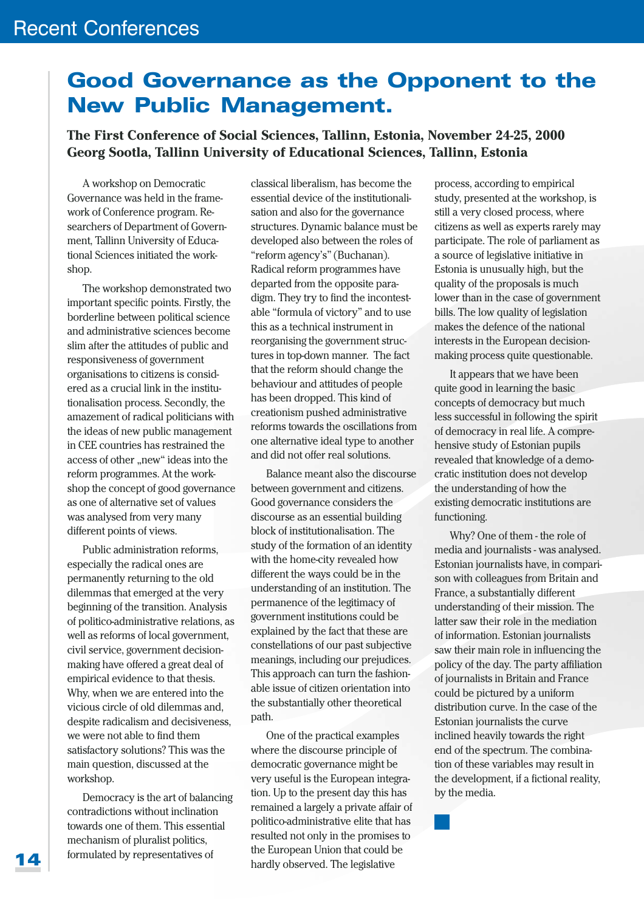# **Good Governance as the Opponent to the New Public Management.**

### The First Conference of Social Sciences, Tallinn, Estonia, November 24-25, 2000 Georg Sootla, Tallinn University of Educational Sciences, Tallinn, Estonia

A workshop on Democratic Governance was held in the framework of Conference program. Researchers of Department of Government, Tallinn University of Educational Sciences initiated the workshop.

The workshop demonstrated two important specific points. Firstly, the borderline between political science and administrative sciences become slim after the attitudes of public and responsiveness of government organisations to citizens is considered as a crucial link in the institutionalisation process. Secondly, the amazement of radical politicians with the ideas of new public management in CEE countries has restrained the access of other "new" ideas into the reform programmes. At the workshop the concept of good governance as one of alternative set of values was analysed from very many different points of views.

Public administration reforms, especially the radical ones are permanently returning to the old dilemmas that emerged at the very beginning of the transition. Analysis of politico-administrative relations, as well as reforms of local government. civil service, government decisionmaking have offered a great deal of empirical evidence to that thesis. Why, when we are entered into the vicious circle of old dilemmas and. despite radicalism and decisiveness. we were not able to find them satisfactory solutions? This was the main question, discussed at the workshop.

Democracy is the art of balancing contradictions without inclination towards one of them. This essential mechanism of pluralist politics, formulated by representatives of

classical liberalism, has become the essential device of the institutionalisation and also for the governance structures. Dynamic balance must be developed also between the roles of "reform agency's" (Buchanan). Radical reform programmes have departed from the opposite paradigm. They try to find the incontestable "formula of victory" and to use this as a technical instrument in reorganising the government structures in top-down manner. The fact that the reform should change the behaviour and attitudes of people has been dropped. This kind of creationism pushed administrative reforms towards the oscillations from one alternative ideal type to another and did not offer real solutions.

Balance meant also the discourse between government and citizens. Good governance considers the discourse as an essential building block of institutionalisation. The study of the formation of an identity with the home-city revealed how different the ways could be in the understanding of an institution. The permanence of the legitimacy of government institutions could be explained by the fact that these are constellations of our past subjective meanings, including our prejudices. This approach can turn the fashionable issue of citizen orientation into the substantially other theoretical path.

One of the practical examples where the discourse principle of democratic governance might be very useful is the European integration. Up to the present day this has remained a largely a private affair of politico-administrative elite that has resulted not only in the promises to the European Union that could be hardly observed. The legislative

process, according to empirical study, presented at the workshop, is still a very closed process, where citizens as well as experts rarely may participate. The role of parliament as a source of legislative initiative in Estonia is unusually high, but the quality of the proposals is much lower than in the case of government bills. The low quality of legislation makes the defence of the national interests in the European decisionmaking process quite questionable.

It appears that we have been quite good in learning the basic concepts of democracy but much less successful in following the spirit of democracy in real life. A comprehensive study of Estonian pupils revealed that knowledge of a democratic institution does not develop the understanding of how the existing democratic institutions are functioning.

Why? One of them - the role of media and journalists - was analysed. Estonian journalists have, in comparison with colleagues from Britain and France, a substantially different understanding of their mission. The latter saw their role in the mediation of information. Estonian journalists saw their main role in influencing the policy of the day. The party affiliation of journalists in Britain and France could be pictured by a uniform distribution curve. In the case of the Estonian journalists the curve inclined heavily towards the right end of the spectrum. The combination of these variables may result in the development, if a fictional reality, by the media.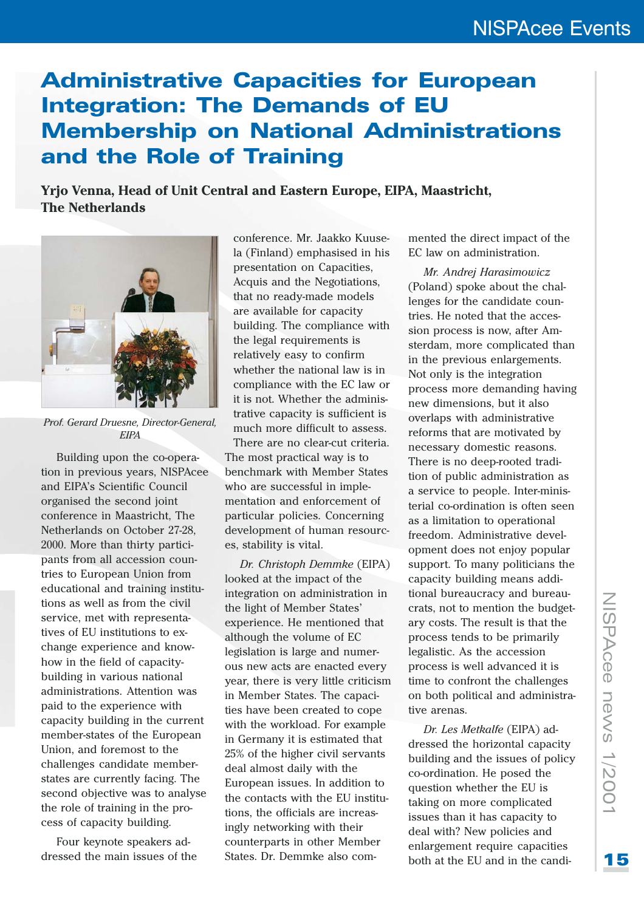# **Administrative Capacities for European Integration: The Demands of EU Membership on National Administrations** and the Role of Training

Yrjo Venna, Head of Unit Central and Eastern Europe, EIPA, Maastricht, **The Netherlands** 



Prof. Gerard Druesne, Director-General. **FIPA** 

Building upon the co-operation in previous years, NISPAcee and EIPA's Scientific Council organised the second joint conference in Maastricht. The Netherlands on October 27-28, 2000. More than thirty participants from all accession countries to European Union from educational and training institutions as well as from the civil service, met with representatives of EU institutions to exchange experience and knowhow in the field of capacitybuilding in various national administrations. Attention was paid to the experience with capacity building in the current member-states of the European Union, and foremost to the challenges candidate memberstates are currently facing. The second objective was to analyse the role of training in the process of capacity building.

Four keynote speakers addressed the main issues of the

conference. Mr. Jaakko Kuusela (Finland) emphasised in his presentation on Capacities. Acquis and the Negotiations. that no ready-made models are available for capacity building. The compliance with the legal requirements is relatively easy to confirm whether the national law is in compliance with the EC law or it is not. Whether the administrative capacity is sufficient is much more difficult to assess. There are no clear-cut criteria.

The most practical way is to benchmark with Member States who are successful in implementation and enforcement of particular policies. Concerning development of human resources, stability is vital.

Dr. Christoph Demmke (EIPA) looked at the impact of the integration on administration in the light of Member States' experience. He mentioned that although the volume of EC legislation is large and numerous new acts are enacted every year, there is very little criticism in Member States. The capacities have been created to cope with the workload. For example in Germany it is estimated that 25% of the higher civil servants deal almost daily with the European issues. In addition to the contacts with the EU institutions, the officials are increasingly networking with their counterparts in other Member States. Dr. Demmke also commented the direct impact of the EC law on administration.

Mr. Andrej Harasimowicz (Poland) spoke about the challenges for the candidate countries. He noted that the accession process is now, after Amsterdam, more complicated than in the previous enlargements. Not only is the integration process more demanding having new dimensions, but it also overlaps with administrative reforms that are motivated by necessary domestic reasons. There is no deep-rooted tradition of public administration as a service to people. Inter-ministerial co-ordination is often seen as a limitation to operational freedom. Administrative development does not enjoy popular support. To many politicians the capacity building means additional bureaucracy and bureaucrats, not to mention the budgetary costs. The result is that the process tends to be primarily legalistic. As the accession process is well advanced it is time to confront the challenges on both political and administrative arenas.

Dr. Les Metkalfe (EIPA) addressed the horizontal capacity building and the issues of policy co-ordination. He posed the question whether the EU is taking on more complicated issues than it has capacity to deal with? New policies and enlargement require capacities both at the EU and in the candi-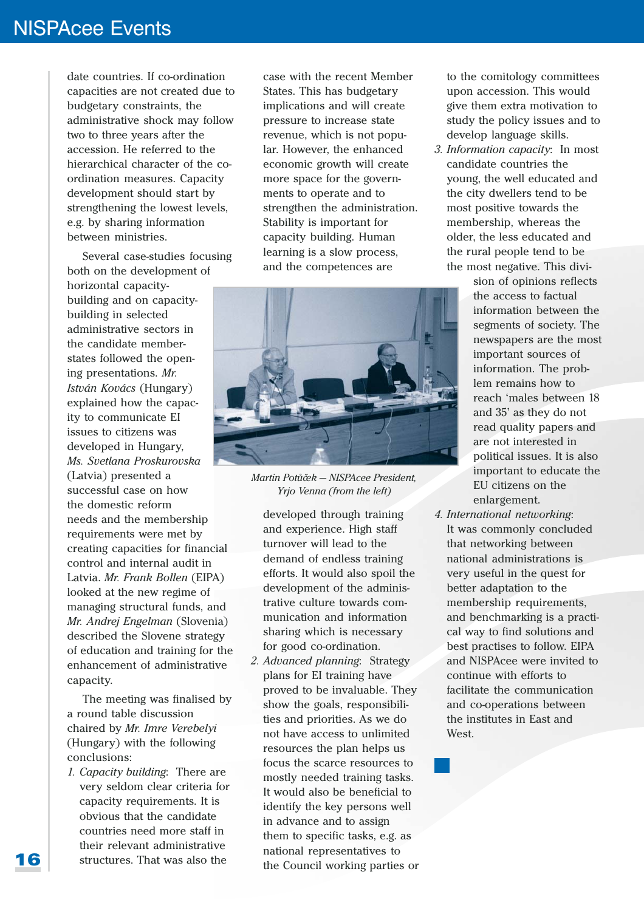## **NISPAcee Events**

date countries. If co-ordination capacities are not created due to budgetary constraints, the administrative shock may follow two to three years after the accession. He referred to the hierarchical character of the coordination measures. Capacity development should start by strengthening the lowest levels, e.g. by sharing information between ministries.

Several case-studies focusing both on the development of horizontal capacitybuilding and on capacitybuilding in selected administrative sectors in the candidate memberstates followed the opening presentations. Mr. *István Kovács* (Hungary) explained how the capacity to communicate EI issues to citizens was developed in Hungary, Ms. Svetlana Proskurovska (Latvia) presented a successful case on how the domestic reform needs and the membership requirements were met by creating capacities for financial control and internal audit in Latvia. Mr. Frank Bollen (EIPA) looked at the new regime of managing structural funds, and Mr. Andrej Engelman (Slovenia) described the Slovene strategy of education and training for the enhancement of administrative capacity.

The meeting was finalised by a round table discussion chaired by Mr. Imre Verebelyi (Hungary) with the following conclusions:

1. Capacity building: There are very seldom clear criteria for capacity requirements. It is obvious that the candidate countries need more staff in their relevant administrative structures. That was also the

case with the recent Member States. This has budgetary implications and will create pressure to increase state revenue, which is not popular. However, the enhanced economic growth will create more space for the governments to operate and to strengthen the administration. Stability is important for capacity building. Human learning is a slow process, and the competences are



Martin Potůček - NISPAcee President. Yrjo Venna (from the left)

developed through training and experience. High staff turnover will lead to the demand of endless training efforts. It would also spoil the development of the administrative culture towards communication and information sharing which is necessary for good co-ordination.

2. Advanced planning: Strategy plans for EI training have proved to be invaluable. They show the goals, responsibilities and priorities. As we do not have access to unlimited resources the plan helps us focus the scarce resources to mostly needed training tasks. It would also be beneficial to identify the key persons well in advance and to assign them to specific tasks, e.g. as national representatives to the Council working parties or to the comitology committees upon accession. This would give them extra motivation to study the policy issues and to develop language skills.

3. Information capacity: In most candidate countries the young, the well educated and the city dwellers tend to be most positive towards the membership, whereas the older, the less educated and the rural people tend to be the most negative. This divi-

> sion of opinions reflects the access to factual information between the segments of society. The newspapers are the most important sources of information. The problem remains how to reach 'males between 18 and 35' as they do not read quality papers and are not interested in political issues. It is also important to educate the EU citizens on the enlargement.

4. International networking: It was commonly concluded that networking between national administrations is very useful in the quest for better adaptation to the membership requirements, and benchmarking is a practical way to find solutions and best practises to follow. EIPA and NISPAcee were invited to continue with efforts to facilitate the communication and co-operations between the institutes in East and West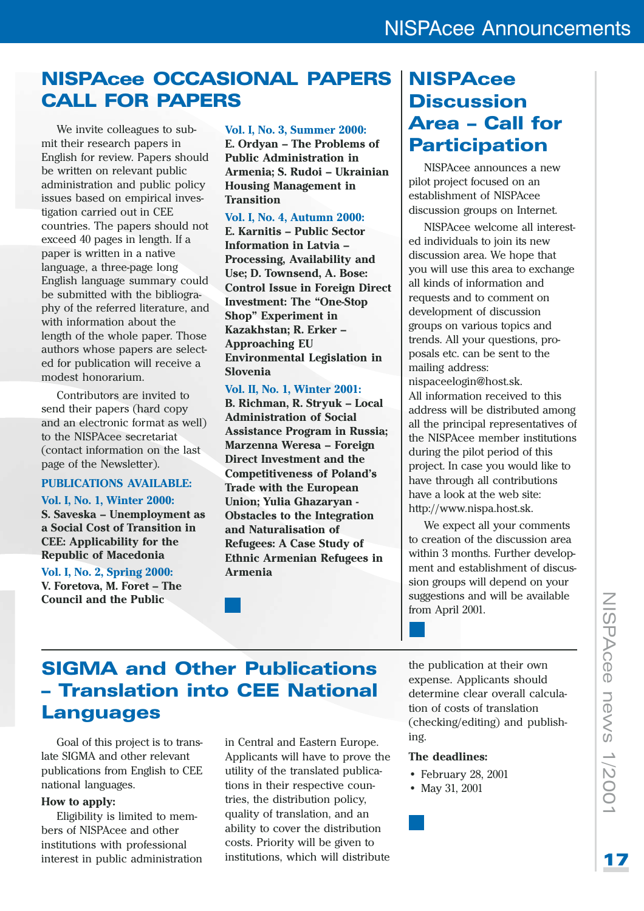# **NISPACee OCCASIONAL PAPERS CALL FOR PAPERS**

We invite colleagues to submit their research papers in English for review. Papers should be written on relevant public administration and public policy issues based on empirical investigation carried out in CEE countries. The papers should not exceed 40 pages in length. If a paper is written in a native language, a three-page long English language summary could be submitted with the bibliography of the referred literature, and with information about the length of the whole paper. Those authors whose papers are selected for publication will receive a modest honorarium.

Contributors are invited to send their papers (hard copy and an electronic format as well) to the NISPAcee secretariat (contact information on the last page of the Newsletter).

### PUBLICATIONS AVAILABLE:

**Vol. I, No. 1, Winter 2000:** S. Saveska - Unemployment as a Social Cost of Transition in **CEE: Applicability for the Republic of Macedonia** 

**Vol. I, No. 2, Spring 2000:** V. Foretova, M. Foret - The **Council and the Public** 

**Vol. I, No. 3, Summer 2000:** E. Ordyan - The Problems of **Public Administration in** Armenia; S. Rudoi - Ukrainian **Housing Management in Transition** 

**Vol. I, No. 4, Autumn 2000:** E. Karnitis - Public Sector Information in Latvia -Processing, Availability and Use; D. Townsend, A. Bose: **Control Issue in Foreign Direct Investment: The "One-Stop Shop**" Experiment in Kazakhstan: R. Erker -**Approaching EU Environmental Legislation in Slovenia** 

### **Vol. II, No. 1, Winter 2001:**

B. Richman, R. Stryuk - Local **Administration of Social Assistance Program in Russia;** Marzenna Weresa - Foreign Direct Investment and the **Competitiveness of Poland's Trade with the European** Union; Yulia Ghazaryan -**Obstacles to the Integration** and Naturalisation of **Refugees: A Case Study of Ethnic Armenian Refugees in Armenia** 

# **NISPACAA Discussion Area - Call for Participation**

NISPAcee announces a new pilot project focused on an establishment of NISPAcee discussion groups on Internet.

NISPAcee welcome all interested individuals to join its new discussion area. We hope that you will use this area to exchange all kinds of information and requests and to comment on development of discussion groups on various topics and trends. All your questions, proposals etc. can be sent to the mailing address: nispaceelogin@host.sk. All information received to this address will be distributed among all the principal representatives of the NISPAcee member institutions

during the pilot period of this project. In case you would like to have through all contributions have a look at the web site: http://www.nispa.host.sk.

We expect all your comments to creation of the discussion area within 3 months. Further development and establishment of discussion groups will depend on your suggestions and will be available from April 2001.

# **SIGMA and Other Publications** - Translation into CEE National **Languages**

Goal of this project is to translate SIGMA and other relevant publications from English to CEE national languages.

### How to apply:

Eligibility is limited to members of NISPAcee and other institutions with professional interest in public administration in Central and Eastern Europe. Applicants will have to prove the utility of the translated publications in their respective countries, the distribution policy. quality of translation, and an ability to cover the distribution costs. Priority will be given to institutions, which will distribute

the publication at their own expense. Applicants should determine clear overall calculation of costs of translation (checking/editing) and publishing.

### The deadlines:

- February 28, 2001
- May 31, 2001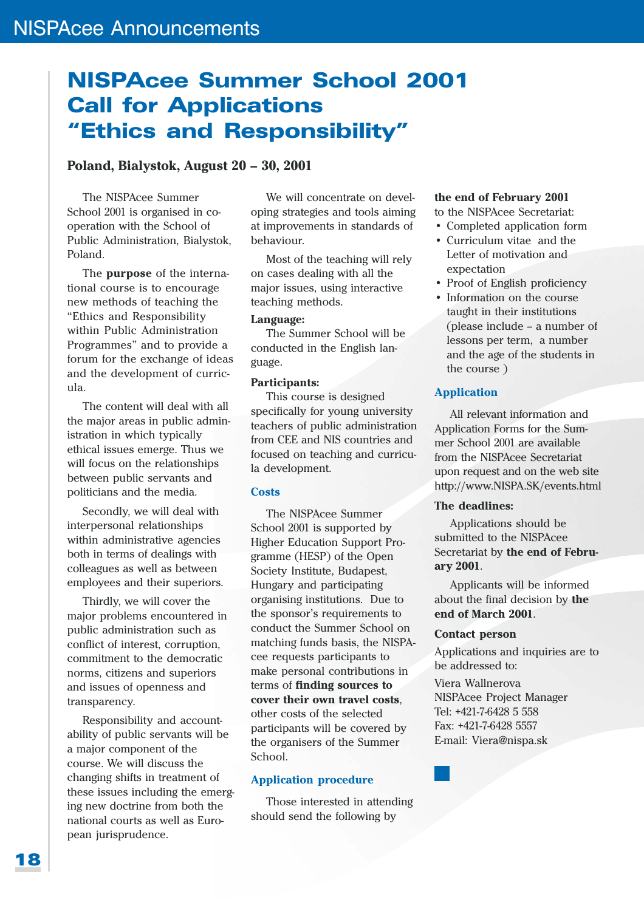# **NISPAcee Summer School 2001 Call for Applications** "Ethics and Responsibility"

### Poland, Bialystok, August 20 - 30, 2001

The NISPAcee Summer School 2001 is organised in cooperation with the School of Public Administration, Bialystok, Poland.

The purpose of the international course is to encourage new methods of teaching the "Ethics and Responsibility within Public Administration Programmes" and to provide a forum for the exchange of ideas and the development of curricula.

The content will deal with all the major areas in public administration in which typically ethical issues emerge. Thus we will focus on the relationships between public servants and politicians and the media.

Secondly, we will deal with interpersonal relationships within administrative agencies both in terms of dealings with colleagues as well as between employees and their superiors.

Thirdly, we will cover the major problems encountered in public administration such as conflict of interest, corruption, commitment to the democratic norms, citizens and superiors and issues of openness and transparency.

Responsibility and accountability of public servants will be a major component of the course. We will discuss the changing shifts in treatment of these issues including the emerging new doctrine from both the national courts as well as European jurisprudence.

We will concentrate on developing strategies and tools aiming at improvements in standards of behaviour.

Most of the teaching will rely on cases dealing with all the major issues, using interactive teaching methods.

### Language:

The Summer School will be conducted in the English language.

### **Participants:**

This course is designed specifically for young university teachers of public administration from CEE and NIS countries and focused on teaching and curricula development.

### **Costs**

The NISPAcee Summer School 2001 is supported by **Higher Education Support Pro**gramme (HESP) of the Open Society Institute, Budapest, Hungary and participating organising institutions. Due to the sponsor's requirements to conduct the Summer School on matching funds basis, the NISPAcee requests participants to make personal contributions in terms of finding sources to cover their own travel costs. other costs of the selected participants will be covered by the organisers of the Summer School

### **Application procedure**

Those interested in attending should send the following by

### the end of February 2001

to the NISPAcee Secretariat:

- Completed application form
- Curriculum vitae and the Letter of motivation and expectation
- Proof of English proficiency
- Information on the course taught in their institutions (please include – a number of lessons per term. a number and the age of the students in the course)

### **Application**

All relevant information and Application Forms for the Summer School 2001 are available from the NISPAcee Secretariat upon request and on the web site http://www.NISPA.SK/events.html

### The deadlines:

Applications should be submitted to the NISPAcee Secretariat by the end of February 2001.

Applicants will be informed about the final decision by the end of March 2001.

### **Contact person**

Applications and inquiries are to be addressed to:

Viera Wallnerova NISPAcee Project Manager Tel: +421-7-6428 5 558 Fax: +421-7-6428 5557 E-mail: Viera@nispa.sk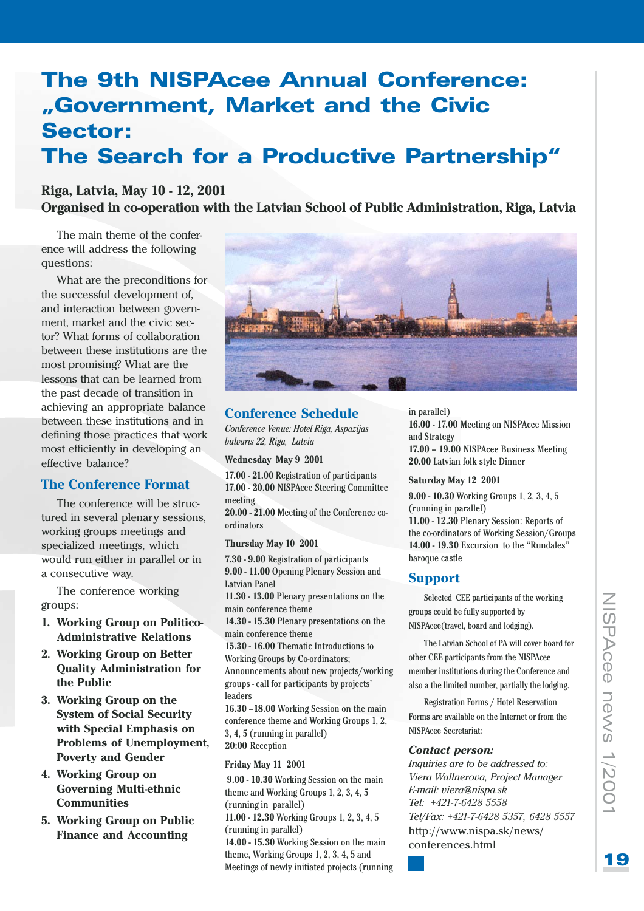# **The 9th NISPAcee Annual Conference:** "Government, Market and the Civic **Sector:** The Search for a Productive Partnership"

### Riga, Latvia, May 10 - 12, 2001

Organised in co-operation with the Latvian School of Public Administration, Riga, Latvia

The main theme of the conference will address the following questions:

What are the preconditions for the successful development of, and interaction between government, market and the civic sector? What forms of collaboration between these institutions are the most promising? What are the lessons that can be learned from the past decade of transition in achieving an appropriate balance between these institutions and in defining those practices that work most efficiently in developing an effective balance?

### **The Conference Format**

The conference will be structured in several plenary sessions, working groups meetings and specialized meetings, which would run either in parallel or in a consecutive way.

The conference working groups:

- 1. Working Group on Politico-**Administrative Relations**
- 2. Working Group on Better **Quality Administration for** the Public
- 3. Working Group on the **System of Social Security** with Special Emphasis on Problems of Unemployment, **Poverty and Gender**
- 4. Working Group on **Governing Multi-ethnic Communities**
- 5. Working Group on Public **Finance and Accounting**



### **Conference Schedule**

Conference Venue: Hotel Riga, Aspazijas bulvaris 22, Riga, Latvia

Wednesday May 9 2001

17.00 - 21.00 Registration of participants 17.00 - 20.00 NISPAcee Steering Committee meeting

20.00 - 21.00 Meeting of the Conference coordinators

### Thursday May 10 2001

7.30 - 9.00 Registration of participants 9.00 - 11.00 Opening Plenary Session and **Latvian Panel** 11.30 - 13.00 Plenary presentations on the main conference theme 14.30 - 15.30 Plenary presentations on the main conference theme 15.30 - 16.00 Thematic Introductions to **Working Groups by Co-ordinators:** Announcements about new projects/working groups - call for participants by projects' leaders 16.30 -18.00 Working Session on the main conference theme and Working Groups 1, 2, 3, 4, 5 (running in parallel)

20:00 Reception

### Friday May 11 2001

9.00 - 10.30 Working Session on the main theme and Working Groups 1, 2, 3, 4, 5 (running in parallel)

11.00 - 12.30 Working Groups 1, 2, 3, 4, 5 (running in parallel)

14.00 - 15.30 Working Session on the main theme, Working Groups 1, 2, 3, 4, 5 and Meetings of newly initiated projects (running in parallel)

16.00 - 17.00 Meeting on NISPAcee Mission and Strategy 17.00 - 19.00 NISPAcee Business Meeting 20.00 Latvian folk style Dinner

### Saturday May 12 2001

9.00 - 10.30 Working Groups 1, 2, 3, 4, 5 (running in parallel)

11.00 - 12.30 Plenary Session: Reports of the co-ordinators of Working Session/Groups 14.00 - 19.30 Excursion to the "Rundales" baroque castle

### **Support**

Selected CEE participants of the working groups could be fully supported by NISPAcee(travel, board and lodging).

The Latvian School of PA will cover board for other CEE participants from the NISPAcee member institutions during the Conference and also a the limited number, partially the lodging.

Registration Forms / Hotel Reservation Forms are available on the Internet or from the NISPAcee Secretariat:

### **Contact person:**

Inquiries are to be addressed to: Viera Wallnerova, Project Manager E-mail: viera@nispa.sk Tel: +421-7-6428 5558 Tel/Fax: +421-7-6428 5357, 6428 5557 http://www.nispa.sk/news/ conferences.html